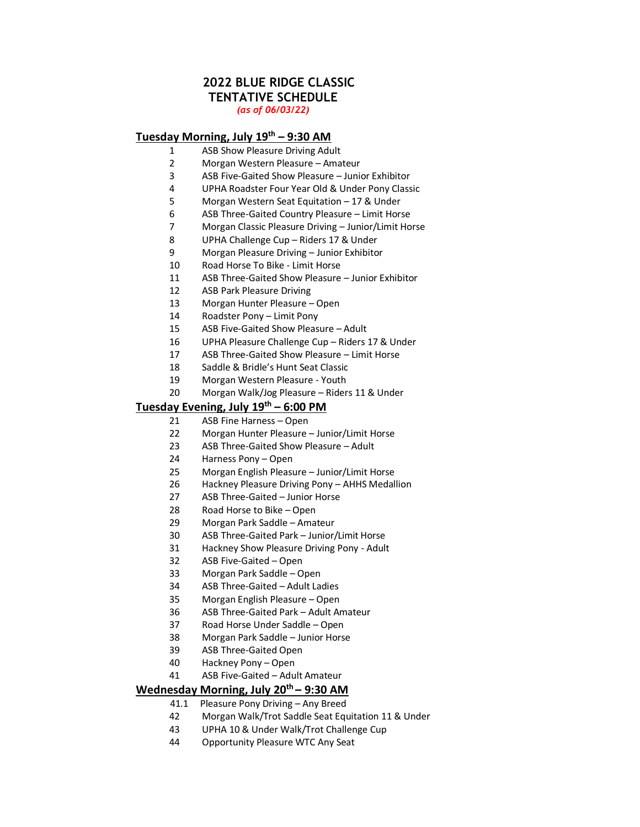## **2022 BLUE RIDGE CLASSIC TENTATIVE SCHEDULE** *(as of 06/03/22)*

# **Tuesday Morning, July 19th – 9:30 AM**

- ASB Show Pleasure Driving Adult
- Morgan Western Pleasure Amateur
- ASB Five‐Gaited Show Pleasure Junior Exhibitor
- UPHA Roadster Four Year Old & Under Pony Classic
- Morgan Western Seat Equitation 17 & Under
- ASB Three-Gaited Country Pleasure Limit Horse
- Morgan Classic Pleasure Driving Junior/Limit Horse
- UPHA Challenge Cup Riders 17 & Under
- Morgan Pleasure Driving Junior Exhibitor
- 10 Road Horse To Bike Limit Horse
- ASB Three‐Gaited Show Pleasure Junior Exhibitor
- ASB Park Pleasure Driving
- Morgan Hunter Pleasure Open
- Roadster Pony Limit Pony
- ASB Five‐Gaited Show Pleasure Adult
- UPHA Pleasure Challenge Cup Riders 17 & Under
- ASB Three-Gaited Show Pleasure Limit Horse
- Saddle & Bridle's Hunt Seat Classic
- Morgan Western Pleasure Youth
- Morgan Walk/Jog Pleasure Riders 11 & Under

## **Tuesday Evening, July 19th – 6:00 PM**

- ASB Fine Harness Open
- Morgan Hunter Pleasure Junior/Limit Horse
- ASB Three‐Gaited Show Pleasure Adult
- Harness Pony Open
- Morgan English Pleasure Junior/Limit Horse
- Hackney Pleasure Driving Pony AHHS Medallion
- ASB Three‐Gaited Junior Horse
- Road Horse to Bike Open
- Morgan Park Saddle Amateur
- ASB Three‐Gaited Park Junior/Limit Horse
- Hackney Show Pleasure Driving Pony Adult
- ASB Five‐Gaited Open
- Morgan Park Saddle Open
- ASB Three‐Gaited Adult Ladies
- Morgan English Pleasure Open
- ASB Three‐Gaited Park Adult Amateur
- Road Horse Under Saddle Open
- Morgan Park Saddle Junior Horse
- ASB Three‐Gaited Open
- Hackney Pony Open
- ASB Five‐Gaited Adult Amateur

# **Wednesday Morning, July 20th – 9:30 AM**

- 41.1 Pleasure Pony Driving Any Breed
- Morgan Walk/Trot Saddle Seat Equitation 11 & Under
- UPHA 10 & Under Walk/Trot Challenge Cup
- Opportunity Pleasure WTC Any Seat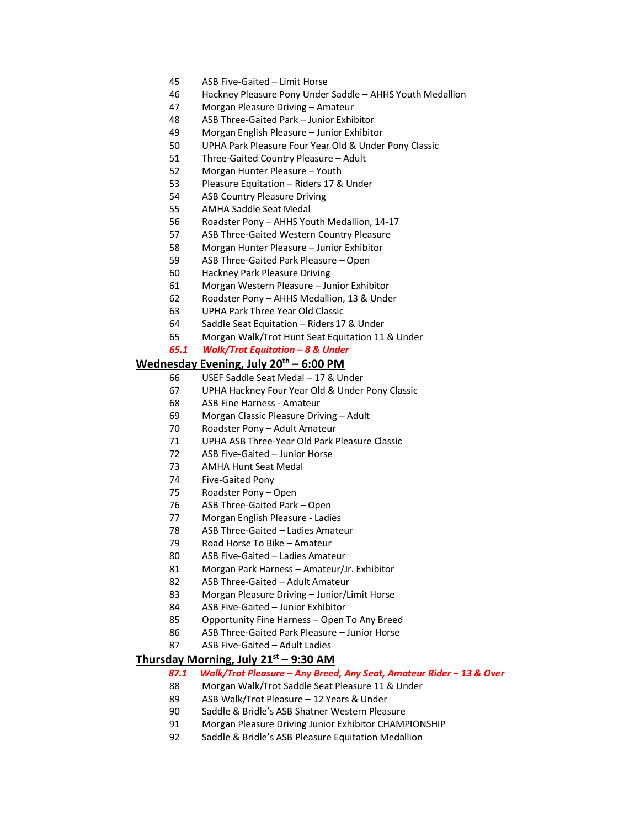- ASB Five-Gaited Limit Horse
- Hackney Pleasure Pony Under Saddle AHHS Youth Medallion
- Morgan Pleasure Driving Amateur
- ASB Three‐Gaited Park Junior Exhibitor
- Morgan English Pleasure Junior Exhibitor
- UPHA Park Pleasure Four Year Old & Under Pony Classic
- 51 Three-Gaited Country Pleasure Adult
- Morgan Hunter Pleasure Youth
- Pleasure Equitation Riders 17 & Under
- ASB Country Pleasure Driving
- AMHA Saddle Seat Medal
- Roadster Pony AHHS Youth Medallion, 14-17
- ASB Three‐Gaited Western Country Pleasure
- Morgan Hunter Pleasure Junior Exhibitor
- 59 ASB Three-Gaited Park Pleasure Open
- Hackney Park Pleasure Driving
- Morgan Western Pleasure Junior Exhibitor
- Roadster Pony AHHS Medallion, 13 & Under
- UPHA Park Three Year Old Classic
- Saddle Seat Equitation Riders17 & Under
- Morgan Walk/Trot Hunt Seat Equitation 11 & Under

### *65.1 Walk/Trot Equitation – 8 & Under*

# **Wednesday Evening, July 20 th – 6:00 PM**

- USEF Saddle Seat Medal 17 & Under
- UPHA Hackney Four Year Old & Under Pony Classic
- ASB Fine Harness ‐ Amateur
- Morgan Classic Pleasure Driving Adult
- Roadster Pony Adult Amateur
- UPHA ASB Three‐Year Old Park Pleasure Classic
- 72 ASB Five-Gaited Junior Horse
- AMHA Hunt Seat Medal
- Five‐Gaited Pony
- Roadster Pony Open
- ASB Three‐Gaited Park Open
- Morgan English Pleasure ‐ Ladies
- 78 ASB Three-Gaited Ladies Amateur
- Road Horse To Bike Amateur
- 80 ASB Five-Gaited Ladies Amateur
- Morgan Park Harness Amateur/Jr. Exhibitor
- 82 ASB Three-Gaited Adult Amateur
- Morgan Pleasure Driving Junior/Limit Horse
- 84 ASB Five-Gaited Junior Exhibitor
- Opportunity Fine Harness Open To Any Breed
- 86 ASB Three-Gaited Park Pleasure Junior Horse
- 87 ASB Five-Gaited Adult Ladies

### **Thursday Morning, July 21st – 9:30 AM**

- *87.1 Walk/Trot Pleasure – Any Breed, Any Seat, Amateur Rider – 13 & Over*
- Morgan Walk/Trot Saddle Seat Pleasure 11 & Under
- ASB Walk/Trot Pleasure 12 Years & Under
- Saddle & Bridle's ASB Shatner Western Pleasure
- Morgan Pleasure Driving Junior Exhibitor CHAMPIONSHIP
- Saddle & Bridle's ASB Pleasure Equitation Medallion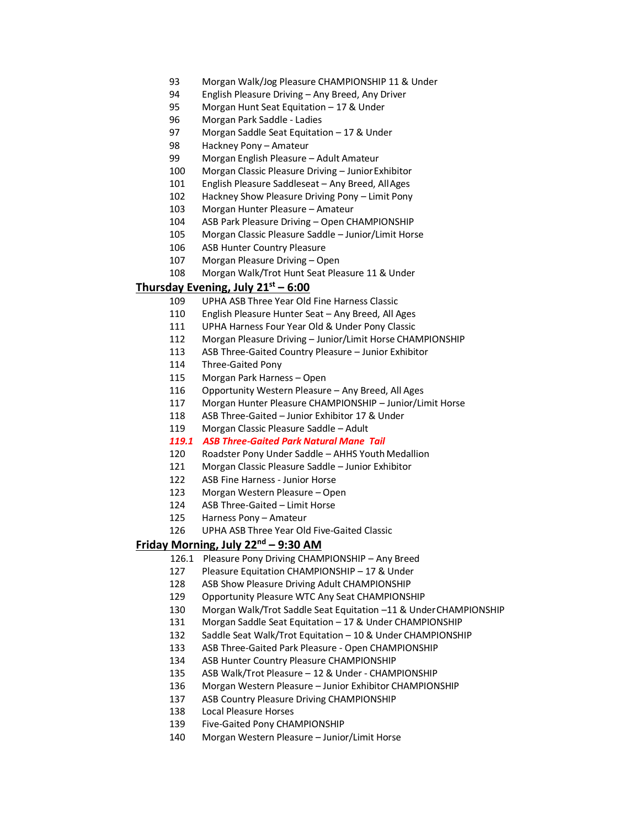- Morgan Walk/Jog Pleasure CHAMPIONSHIP 11 & Under
- English Pleasure Driving Any Breed, Any Driver
- Morgan Hunt Seat Equitation 17 & Under
- Morgan Park Saddle ‐ Ladies
- Morgan Saddle Seat Equitation 17 & Under
- Hackney Pony Amateur
- Morgan English Pleasure Adult Amateur
- Morgan Classic Pleasure Driving JuniorExhibitor
- English Pleasure Saddleseat Any Breed, AllAges
- Hackney Show Pleasure Driving Pony Limit Pony
- Morgan Hunter Pleasure Amateur
- ASB Park Pleasure Driving Open CHAMPIONSHIP
- Morgan Classic Pleasure Saddle Junior/Limit Horse
- ASB Hunter Country Pleasure
- Morgan Pleasure Driving Open
- Morgan Walk/Trot Hunt Seat Pleasure 11 & Under

### **Thursday Evening, July 21st – 6:00**

- UPHA ASB Three Year Old Fine Harness Classic
- English Pleasure Hunter Seat Any Breed, All Ages
- UPHA Harness Four Year Old & Under Pony Classic
- Morgan Pleasure Driving Junior/Limit Horse CHAMPIONSHIP
- 113 ASB Three-Gaited Country Pleasure Junior Exhibitor
- Three‐Gaited Pony
- Morgan Park Harness Open
- Opportunity Western Pleasure Any Breed, All Ages
- Morgan Hunter Pleasure CHAMPIONSHIP Junior/Limit Horse
- 118 ASB Three-Gaited Junior Exhibitor 17 & Under
- Morgan Classic Pleasure Saddle Adult
- *119.1 ASB Three-Gaited Park Natural Mane Tail*
- Roadster Pony Under Saddle AHHS Youth Medallion
- Morgan Classic Pleasure Saddle Junior Exhibitor
- ASB Fine Harness ‐ Junior Horse
- Morgan Western Pleasure Open
- ASB Three-Gaited Limit Horse
- Harness Pony Amateur
- UPHA ASB Three Year Old Five‐Gaited Classic

# **Friday Morning, July 22<sup>nd</sup> – 9:30 AM**

- 126.1 Pleasure Pony Driving CHAMPIONSHIP Any Breed
- Pleasure Equitation CHAMPIONSHIP 17 & Under
- ASB Show Pleasure Driving Adult CHAMPIONSHIP
- Opportunity Pleasure WTC Any Seat CHAMPIONSHIP
- Morgan Walk/Trot Saddle Seat Equitation –11 & UnderCHAMPIONSHIP
- Morgan Saddle Seat Equitation 17 & Under CHAMPIONSHIP
- Saddle Seat Walk/Trot Equitation 10 & Under CHAMPIONSHIP
- ASB Three‐Gaited Park Pleasure ‐ Open CHAMPIONSHIP
- ASB Hunter Country Pleasure CHAMPIONSHIP
- ASB Walk/Trot Pleasure 12 & Under ‐ CHAMPIONSHIP
- Morgan Western Pleasure Junior Exhibitor CHAMPIONSHIP
- ASB Country Pleasure Driving CHAMPIONSHIP
- 138 Local Pleasure Horses<br>139 Five-Gaited Pony CHA
- Five-Gaited Pony CHAMPIONSHIP
- Morgan Western Pleasure Junior/Limit Horse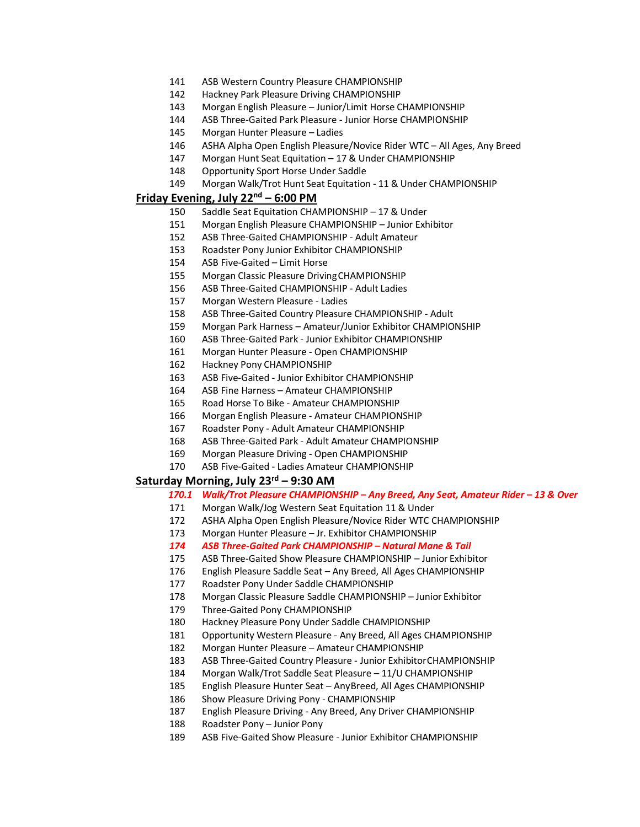- ASB Western Country Pleasure CHAMPIONSHIP
- Hackney Park Pleasure Driving CHAMPIONSHIP
- Morgan English Pleasure Junior/Limit Horse CHAMPIONSHIP
- ASB Three‐Gaited Park Pleasure ‐ Junior Horse CHAMPIONSHIP
- Morgan Hunter Pleasure Ladies
- ASHA Alpha Open English Pleasure/Novice Rider WTC All Ages, Any Breed
- Morgan Hunt Seat Equitation 17 & Under CHAMPIONSHIP
- Opportunity Sport Horse Under Saddle
- Morgan Walk/Trot Hunt Seat Equitation ‐ 11 & Under CHAMPIONSHIP

# **Friday Evening, July 22 nd – 6:00 PM**

- Saddle Seat Equitation CHAMPIONSHIP 17 & Under
- Morgan English Pleasure CHAMPIONSHIP Junior Exhibitor
- ASB Three‐Gaited CHAMPIONSHIP ‐ Adult Amateur
- Roadster Pony Junior Exhibitor CHAMPIONSHIP
- ASB Five-Gaited Limit Horse
- Morgan Classic Pleasure DrivingCHAMPIONSHIP
- ASB Three‐Gaited CHAMPIONSHIP ‐ Adult Ladies
- Morgan Western Pleasure ‐ Ladies
- ASB Three‐Gaited Country Pleasure CHAMPIONSHIP ‐ Adult
- Morgan Park Harness Amateur/Junior Exhibitor CHAMPIONSHIP
- ASB Three‐Gaited Park ‐ Junior Exhibitor CHAMPIONSHIP
- Morgan Hunter Pleasure ‐ Open CHAMPIONSHIP
- Hackney Pony CHAMPIONSHIP
- ASB Five‐Gaited ‐ Junior Exhibitor CHAMPIONSHIP
- ASB Fine Harness Amateur CHAMPIONSHIP
- Road Horse To Bike ‐ Amateur CHAMPIONSHIP
- Morgan English Pleasure ‐ Amateur CHAMPIONSHIP
- Roadster Pony ‐ Adult Amateur CHAMPIONSHIP
- ASB Three‐Gaited Park ‐ Adult Amateur CHAMPIONSHIP
- Morgan Pleasure Driving ‐ Open CHAMPIONSHIP
- 170 ASB Five-Gaited Ladies Amateur CHAMPIONSHIP

### **Saturday Morning, July 23rd – 9:30 AM**

### *170.1 Walk/Trot Pleasure CHAMPIONSHIP – Any Breed, Any Seat, Amateur Rider – 13 & Over*

- Morgan Walk/Jog Western Seat Equitation 11 & Under
- ASHA Alpha Open English Pleasure/Novice Rider WTC CHAMPIONSHIP
- Morgan Hunter Pleasure Jr. Exhibitor CHAMPIONSHIP
- *ASB Three-Gaited Park CHAMPIONSHIP – Natural Mane & Tail*
- ASB Three‐Gaited Show Pleasure CHAMPIONSHIP Junior Exhibitor
- English Pleasure Saddle Seat Any Breed, All Ages CHAMPIONSHIP
- Roadster Pony Under Saddle CHAMPIONSHIP
- Morgan Classic Pleasure Saddle CHAMPIONSHIP Junior Exhibitor
- 179 Three-Gaited Pony CHAMPIONSHIP
- Hackney Pleasure Pony Under Saddle CHAMPIONSHIP
- Opportunity Western Pleasure ‐ Any Breed, All Ages CHAMPIONSHIP
- Morgan Hunter Pleasure Amateur CHAMPIONSHIP
- ASB Three‐Gaited Country Pleasure ‐ Junior ExhibitorCHAMPIONSHIP
- Morgan Walk/Trot Saddle Seat Pleasure 11/U CHAMPIONSHIP
- English Pleasure Hunter Seat AnyBreed, All Ages CHAMPIONSHIP
- 186 Show Pleasure Driving Pony CHAMPIONSHIP
- English Pleasure Driving ‐ Any Breed, Any Driver CHAMPIONSHIP
- Roadster Pony Junior Pony
- ASB Five‐Gaited Show Pleasure ‐ Junior Exhibitor CHAMPIONSHIP